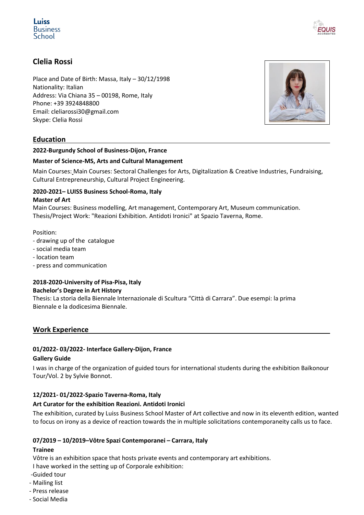# **Luiss Business** School



# **Clelia Rossi**

Place and Date of Birth: Massa, Italy – 30/12/1998 Nationality: Italian Address: Via Chiana 35 – 00198, Rome, Italy Phone: +39 3924848800 Email: [cleliarossi30@gmail.com](mailto:cleliarossi30@gmail.com) Skype: Clelia Rossi

# **Education**

#### **2022-Burgundy School of Business-Dijon, France**

#### **Master of Science-MS, Arts and Cultural Management**

Main Courses: Main Courses: Sectoral Challenges for Arts, Digitalization & Creative Industries, Fundraising, Cultural Entrepreneurship, Cultural Project Engineering.

# **2020-2021– LUISS Business School-Roma, Italy**

#### **Master of Art**

Main Courses: Business modelling, Art management, Contemporary Art, Museum communication. Thesis/Project Work: "Reazioni Exhibition. Antidoti Ironici" at Spazio Taverna, Rome.

Position:

- drawing up of the catalogue
- social media team
- location team
- press and communication

# **2018-2020-University of Pisa-Pisa, Italy**

#### **Bachelor's Degree in Art History**

Thesis: La storia della Biennale Internazionale di Scultura "Città di Carrara". Due esempi: la prima Biennale e la dodicesima Biennale.

# **Work Experience**

# **01/2022- 03/2022- Interface Gallery-Dijon, France**

#### **Gallery Guide**

I was in charge of the organization of guided tours for international students during the exhibition Baïkonour Tour/Vol. 2 by Sylvie Bonnot.

# **12/2021- 01/2022-Spazio Taverna-Roma, Italy**

# **Art Curator for the exhibition Reazioni. Antidoti Ironici**

The exhibition, curated by Luiss Business School Master of Art collective and now in its eleventh edition, wanted to focus on irony as a device of reaction towards the in multiple solicitations contemporaneity calls us to face.

# **07/2019 – 10/2019–Vôtre Spazi Contemporanei – Carrara, Italy**

#### **Trainee**

Vôtre is an exhibition space that hosts private events and contemporary art exhibitions.

I have worked in the setting up of Corporale exhibition:

- -Guided tour
- Mailing list
- Press release
- Social Media